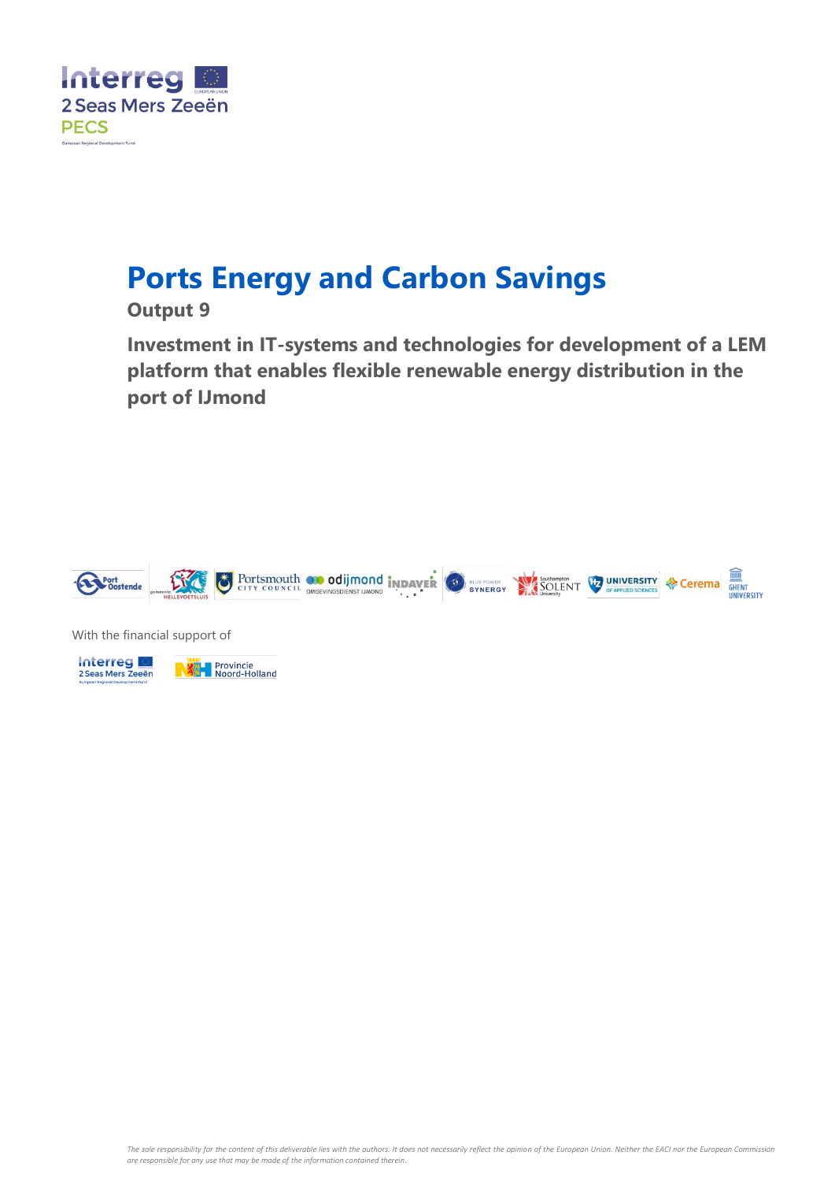

# **Ports Energy and Carbon Savings**

### **Output 9**

**Investment in IT-systems and technologies for development of a LEM platform that enables flexible renewable energy distribution in the port of IJmond**



With the financial support of



*The sole responsibility for the content of this deliverable lies with the authors. It does not necessarily reflect the opinion of the European Union. Neither the EACI nor the European Commission are responsible for any use that may be made of the information contained therein.*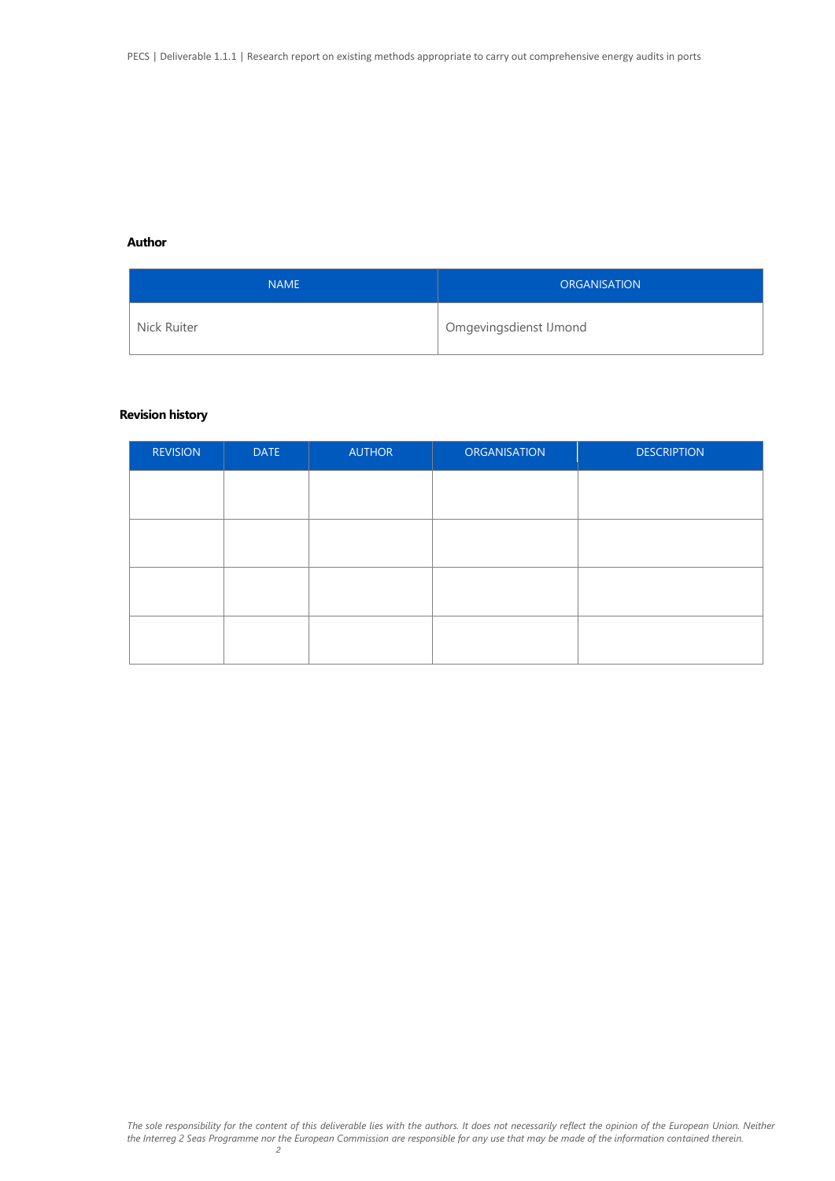#### **Author**

| <b>NAME</b> | <b>ORGANISATION</b>    |
|-------------|------------------------|
| Nick Ruiter | Omgevingsdienst IJmond |

#### **Revision history**

| <b>REVISION</b> | <b>DATE</b> | <b>AUTHOR</b> | <b>ORGANISATION</b> | <b>DESCRIPTION</b> |
|-----------------|-------------|---------------|---------------------|--------------------|
|                 |             |               |                     |                    |
|                 |             |               |                     |                    |
|                 |             |               |                     |                    |
|                 |             |               |                     |                    |
|                 |             |               |                     |                    |
|                 |             |               |                     |                    |
|                 |             |               |                     |                    |
|                 |             |               |                     |                    |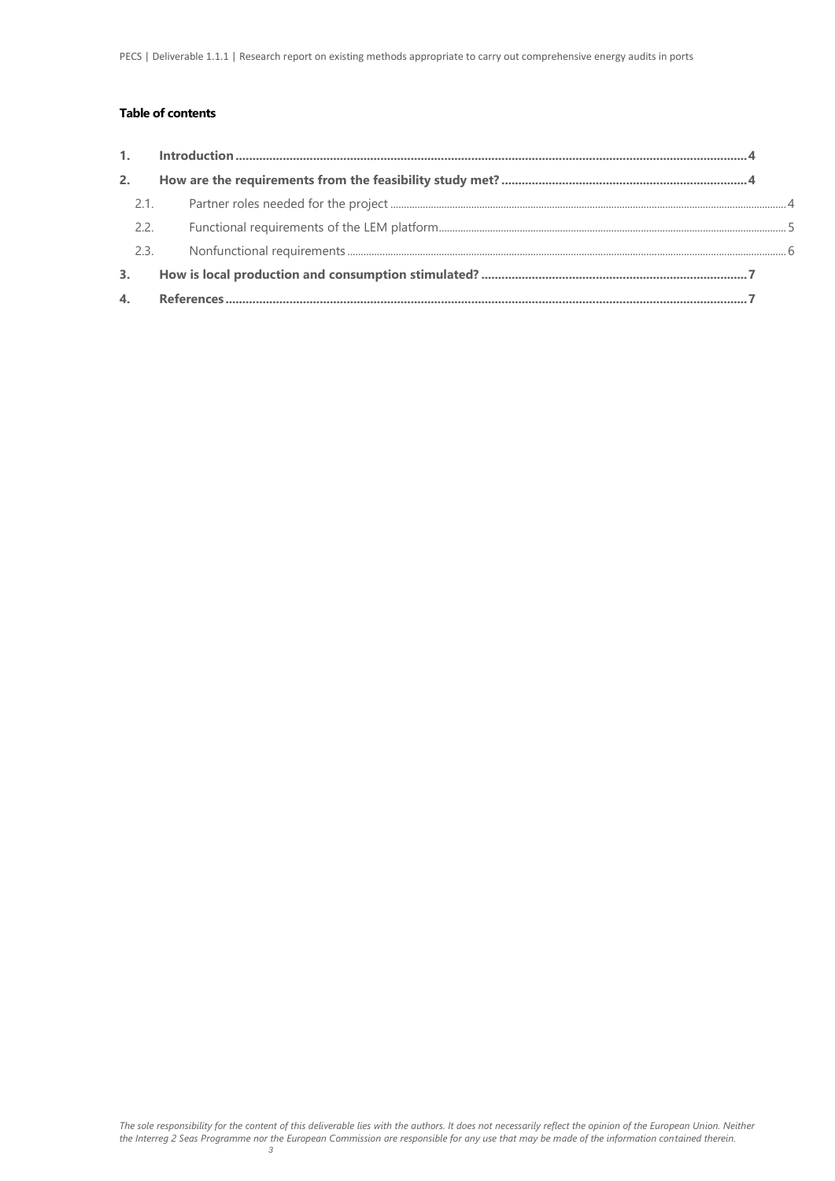#### **Table of contents**

|                  | $\label{prop:nonlinear} \textbf{Introduction} \textcolor{red}{\textbf{.\textbf{1}}}\textbf{.\textbf{1}} \textbf{.} \textbf{.} \textbf{.} \textbf{.} \textbf{.} \textbf{.} \textbf{.} \textbf{.} \textbf{.} \textbf{.} \textbf{.} \textbf{.} \textbf{.} \textbf{.} \textbf{.} \textbf{.} \textbf{.} \textbf{.} \textbf{.} \textbf{.} \textbf{.} \textbf{.} \textbf{.} \textbf{.} \textbf{.} \textbf{.} \textbf{.} \textbf{.} \textbf{.} \textbf{.}$ |  |
|------------------|----------------------------------------------------------------------------------------------------------------------------------------------------------------------------------------------------------------------------------------------------------------------------------------------------------------------------------------------------------------------------------------------------------------------------------------------------|--|
| 2.               |                                                                                                                                                                                                                                                                                                                                                                                                                                                    |  |
| 2.1.             |                                                                                                                                                                                                                                                                                                                                                                                                                                                    |  |
| 2.2.             |                                                                                                                                                                                                                                                                                                                                                                                                                                                    |  |
| 2.3.             |                                                                                                                                                                                                                                                                                                                                                                                                                                                    |  |
| $\overline{3}$ . |                                                                                                                                                                                                                                                                                                                                                                                                                                                    |  |
| $\overline{4}$   |                                                                                                                                                                                                                                                                                                                                                                                                                                                    |  |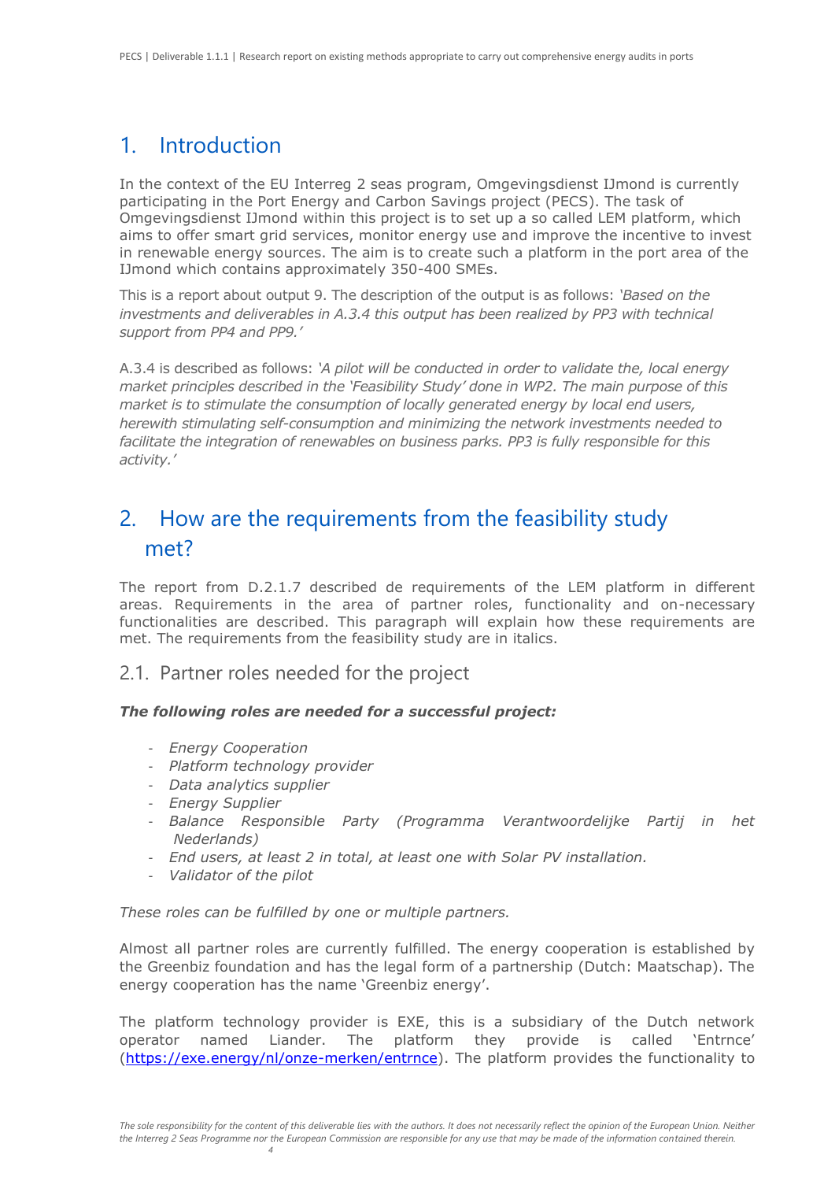# <span id="page-3-0"></span>1. Introduction

In the context of the EU Interreg 2 seas program, Omgevingsdienst IJmond is currently participating in the Port Energy and Carbon Savings project (PECS). The task of Omgevingsdienst IJmond within this project is to set up a so called LEM platform, which aims to offer smart grid services, monitor energy use and improve the incentive to invest in renewable energy sources. The aim is to create such a platform in the port area of the IJmond which contains approximately 350-400 SMEs.

This is a report about output 9. The description of the output is as follows: *'Based on the investments and deliverables in A.3.4 this output has been realized by PP3 with technical support from PP4 and PP9.'*

A.3.4 is described as follows: *'A pilot will be conducted in order to validate the, local energy market principles described in the 'Feasibility Study' done in WP2. The main purpose of this market is to stimulate the consumption of locally generated energy by local end users, herewith stimulating self-consumption and minimizing the network investments needed to facilitate the integration of renewables on business parks. PP3 is fully responsible for this activity.'*

# <span id="page-3-1"></span>2. How are the requirements from the feasibility study met?

The report from D.2.1.7 described de requirements of the LEM platform in different areas. Requirements in the area of partner roles, functionality and on-necessary functionalities are described. This paragraph will explain how these requirements are met. The requirements from the feasibility study are in italics.

### <span id="page-3-2"></span>2.1. Partner roles needed for the project

#### *The following roles are needed for a successful project:*

- *Energy Cooperation*
- *Platform technology provider*

*4*

- *Data analytics supplier*
- *Energy Supplier*
- *Balance Responsible Party (Programma Verantwoordelijke Partij in het Nederlands)*
- *End users, at least 2 in total, at least one with Solar PV installation.*
- *Validator of the pilot*

*These roles can be fulfilled by one or multiple partners.* 

Almost all partner roles are currently fulfilled. The energy cooperation is established by the Greenbiz foundation and has the legal form of a partnership (Dutch: Maatschap). The energy cooperation has the name 'Greenbiz energy'.

The platform technology provider is EXE, this is a subsidiary of the Dutch network operator named Liander. The platform they provide is called 'Entrnce' [\(https://exe.energy/nl/onze-merken/entrnce\)](https://exe.energy/nl/onze-merken/entrnce). The platform provides the functionality to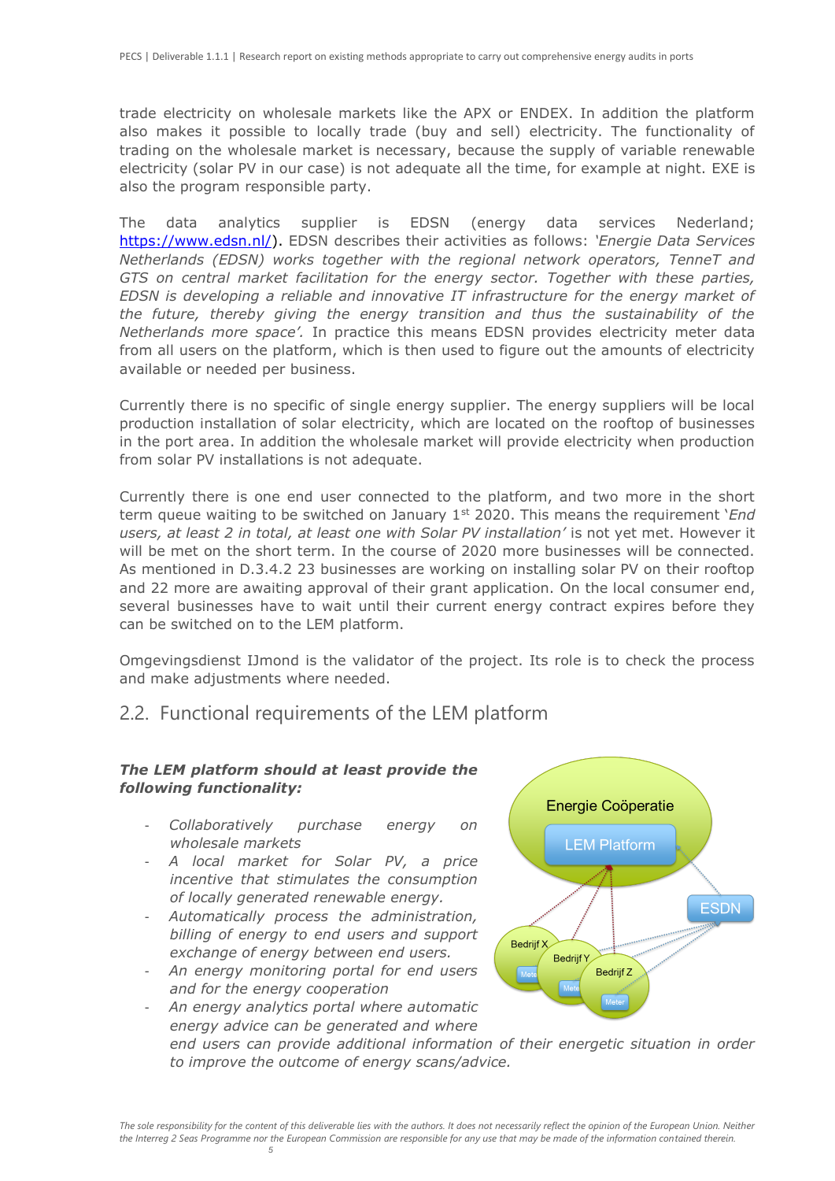trade electricity on wholesale markets like the APX or ENDEX. In addition the platform also makes it possible to locally trade (buy and sell) electricity. The functionality of trading on the wholesale market is necessary, because the supply of variable renewable electricity (solar PV in our case) is not adequate all the time, for example at night. EXE is also the program responsible party.

The data analytics supplier is EDSN (energy data services Nederland; [https://www.edsn.nl/\)](https://www.edsn.nl/). EDSN describes their activities as follows: *'Energie Data Services Netherlands (EDSN) works together with the regional network operators, TenneT and GTS on central market facilitation for the energy sector. Together with these parties, EDSN is developing a reliable and innovative IT infrastructure for the energy market of the future, thereby giving the energy transition and thus the sustainability of the Netherlands more space'.* In practice this means EDSN provides electricity meter data from all users on the platform, which is then used to figure out the amounts of electricity available or needed per business.

Currently there is no specific of single energy supplier. The energy suppliers will be local production installation of solar electricity, which are located on the rooftop of businesses in the port area. In addition the wholesale market will provide electricity when production from solar PV installations is not adequate.

Currently there is one end user connected to the platform, and two more in the short term queue waiting to be switched on January 1st 2020. This means the requirement '*End users, at least 2 in total, at least one with Solar PV installation'* is not yet met. However it will be met on the short term. In the course of 2020 more businesses will be connected. As mentioned in D.3.4.2 23 businesses are working on installing solar PV on their rooftop and 22 more are awaiting approval of their grant application. On the local consumer end, several businesses have to wait until their current energy contract expires before they can be switched on to the LEM platform.

Omgevingsdienst IJmond is the validator of the project. Its role is to check the process and make adjustments where needed.

### <span id="page-4-0"></span>2.2. Functional requirements of the LEM platform

#### *The LEM platform should at least provide the following functionality:*

- *Collaboratively purchase energy on wholesale markets*
- *A local market for Solar PV, a price incentive that stimulates the consumption of locally generated renewable energy.*
- *Automatically process the administration, billing of energy to end users and support exchange of energy between end users.*
- *An energy monitoring portal for end users and for the energy cooperation*

- *An energy analytics portal where automatic* 

*5*



*energy advice can be generated and where end users can provide additional information of their energetic situation in order to improve the outcome of energy scans/advice.*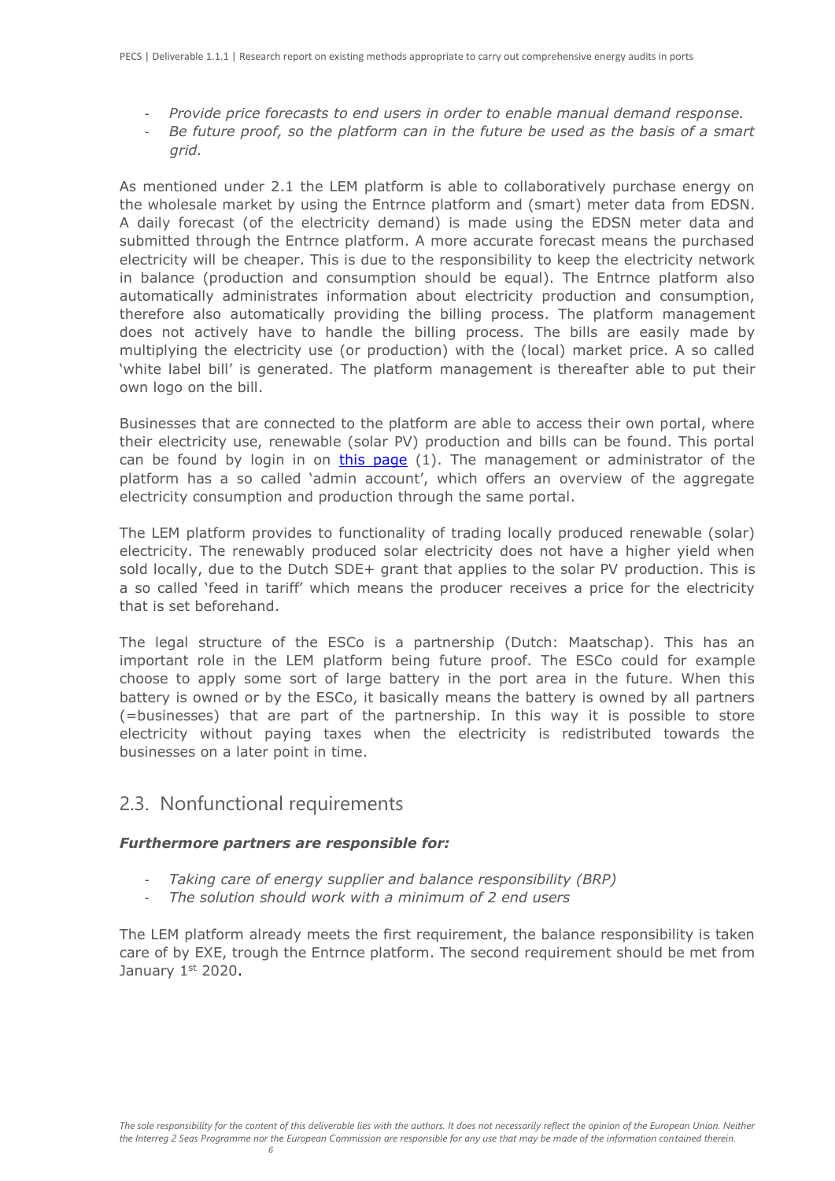- *Provide price forecasts to end users in order to enable manual demand response.*
- *Be future proof, so the platform can in the future be used as the basis of a smart grid.*

As mentioned under 2.1 the LEM platform is able to collaboratively purchase energy on the wholesale market by using the Entrnce platform and (smart) meter data from EDSN. A daily forecast (of the electricity demand) is made using the EDSN meter data and submitted through the Entrnce platform. A more accurate forecast means the purchased electricity will be cheaper. This is due to the responsibility to keep the electricity network in balance (production and consumption should be equal). The Entrnce platform also automatically administrates information about electricity production and consumption, therefore also automatically providing the billing process. The platform management does not actively have to handle the billing process. The bills are easily made by multiplying the electricity use (or production) with the (local) market price. A so called 'white label bill' is generated. The platform management is thereafter able to put their own logo on the bill.

Businesses that are connected to the platform are able to access their own portal, where their electricity use, renewable (solar PV) production and bills can be found. This portal can be found by login in on [this page](https://login.entrnce.exe.energy/auth/realms/deal-platform/protocol/openid-connect/auth?response_type=code&redirect_uri=https%3A%2F%2Fentrnce.exe.energy%2Fcallback%3Fclient_name%3DGenericOidcClient&state=mNy-cdLq6ohEKggfwpKoxyWCg4y0rP3f8jaDXvwwj0g&client_id=entrnce-gateway&scope=openid+profile+email)  $(1)$ . The management or administrator of the platform has a so called 'admin account', which offers an overview of the aggregate electricity consumption and production through the same portal.

The LEM platform provides to functionality of trading locally produced renewable (solar) electricity. The renewably produced solar electricity does not have a higher yield when sold locally, due to the Dutch SDE+ grant that applies to the solar PV production. This is a so called 'feed in tariff' which means the producer receives a price for the electricity that is set beforehand.

The legal structure of the ESCo is a partnership (Dutch: Maatschap). This has an important role in the LEM platform being future proof. The ESCo could for example choose to apply some sort of large battery in the port area in the future. When this battery is owned or by the ESCo, it basically means the battery is owned by all partners (=businesses) that are part of the partnership. In this way it is possible to store electricity without paying taxes when the electricity is redistributed towards the businesses on a later point in time.

### <span id="page-5-0"></span>2.3. Nonfunctional requirements

#### *Furthermore partners are responsible for:*

- *Taking care of energy supplier and balance responsibility (BRP)*
- *The solution should work with a minimum of 2 end users*

The LEM platform already meets the first requirement, the balance responsibility is taken care of by EXE, trough the Entrnce platform. The second requirement should be met from January 1st 2020.